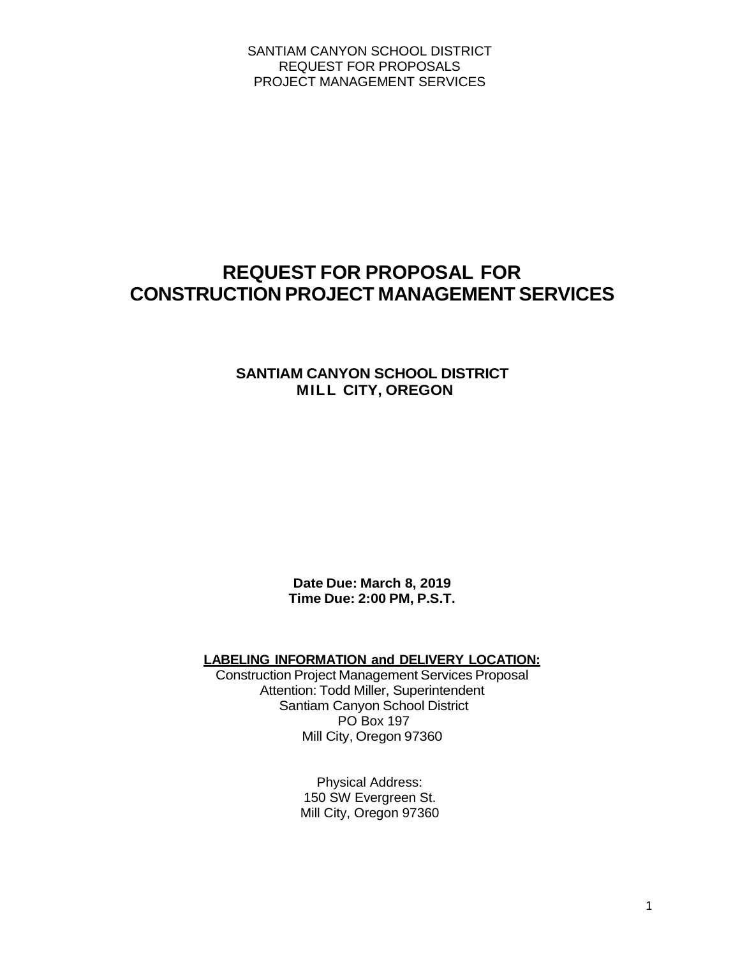# **REQUEST FOR PROPOSAL FOR CONSTRUCTION PROJECT MANAGEMENT SERVICES**

## **SANTIAM CANYON SCHOOL DISTRICT MILL CITY, OREGON**

**Date Due: March 8, 2019 Time Due: 2:00 PM, P.S.T.**

**LABELING INFORMATION and DELIVERY LOCATION:**

Construction Project Management Services Proposal Attention: Todd Miller, Superintendent Santiam Canyon School District PO Box 197 Mill City, Oregon 97360

> Physical Address: 150 SW Evergreen St. Mill City, Oregon 97360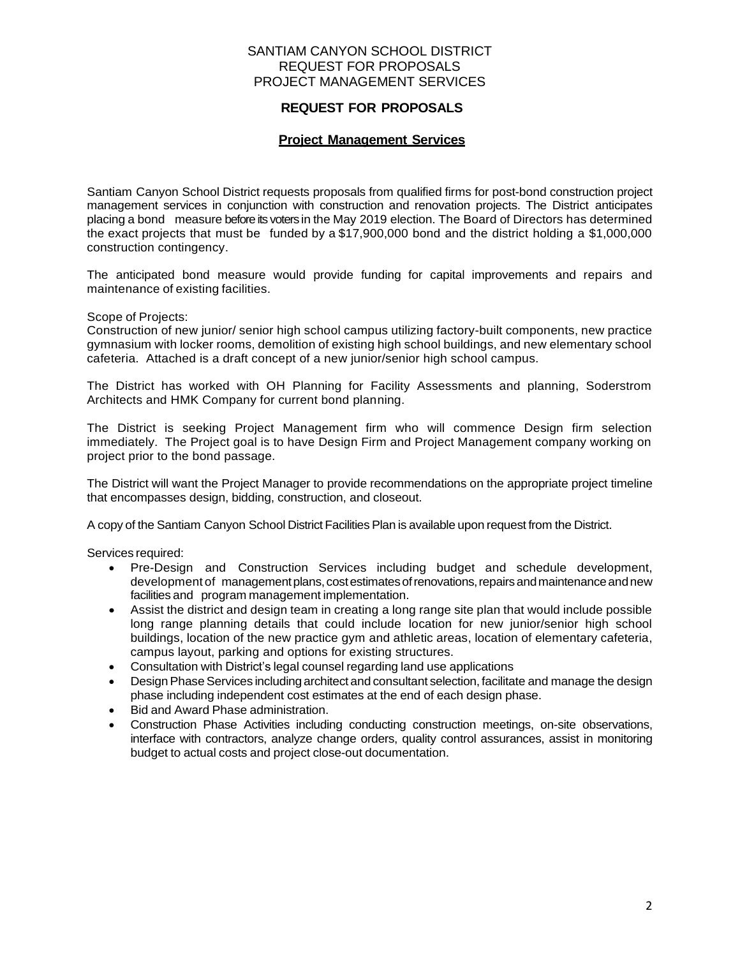## **REQUEST FOR PROPOSALS**

## **Project Management Services**

Santiam Canyon School District requests proposals from qualified firms for post-bond construction project management services in conjunction with construction and renovation projects. The District anticipates placing a bond measure before its voters in the May 2019 election. The Board of Directors has determined the exact projects that must be funded by a \$17,900,000 bond and the district holding a \$1,000,000 construction contingency.

The anticipated bond measure would provide funding for capital improvements and repairs and maintenance of existing facilities.

#### Scope of Projects:

Construction of new junior/ senior high school campus utilizing factory-built components, new practice gymnasium with locker rooms, demolition of existing high school buildings, and new elementary school cafeteria. Attached is a draft concept of a new junior/senior high school campus.

The District has worked with OH Planning for Facility Assessments and planning, Soderstrom Architects and HMK Company for current bond planning.

The District is seeking Project Management firm who will commence Design firm selection immediately. The Project goal is to have Design Firm and Project Management company working on project prior to the bond passage.

The District will want the Project Manager to provide recommendations on the appropriate project timeline that encompasses design, bidding, construction, and closeout.

A copy of the Santiam Canyon School District Facilities Plan is available upon request from the District.

Services required:

- Pre-Design and Construction Services including budget and schedule development, development of management plans, cost estimates of renovations, repairs and maintenance and new facilities and program management implementation.
- Assist the district and design team in creating a long range site plan that would include possible long range planning details that could include location for new junior/senior high school buildings, location of the new practice gym and athletic areas, location of elementary cafeteria, campus layout, parking and options for existing structures.
- Consultation with District's legal counsel regarding land use applications
- Design Phase Services including architect and consultant selection, facilitate and manage the design phase including independent cost estimates at the end of each design phase.
- Bid and Award Phase administration.
- Construction Phase Activities including conducting construction meetings, on-site observations, interface with contractors, analyze change orders, quality control assurances, assist in monitoring budget to actual costs and project close-out documentation.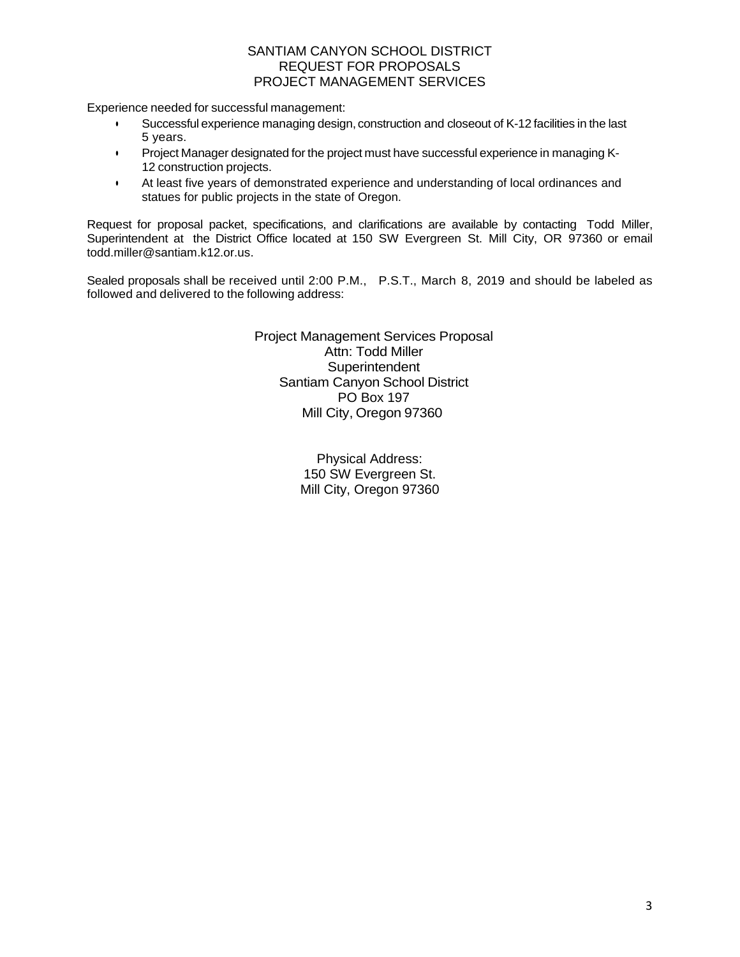Experience needed for successful management:

- Successful experience managing design, construction and closeout of K-12 facilities in the last 5 years.
- Project Manager designated for the project must have successful experience in managing K-12 construction projects.
- At least five years of demonstrated experience and understanding of local ordinances and statues for public projects in the state of Oregon.

Request for proposal packet, specifications, and clarifications are available by contacting Todd Miller, Superintendent at the District Office located at 150 SW Evergreen St. Mill City, OR 97360 or email todd.miller@santiam.k12.or.us.

Sealed proposals shall be received until 2:00 P.M., P.S.T., March 8, 2019 and should be labeled as followed and delivered to the following address:

> Project Management Services Proposal Attn: Todd Miller **Superintendent** Santiam Canyon School District PO Box 197 Mill City, Oregon 97360

> > Physical Address: 150 SW Evergreen St. Mill City, Oregon 97360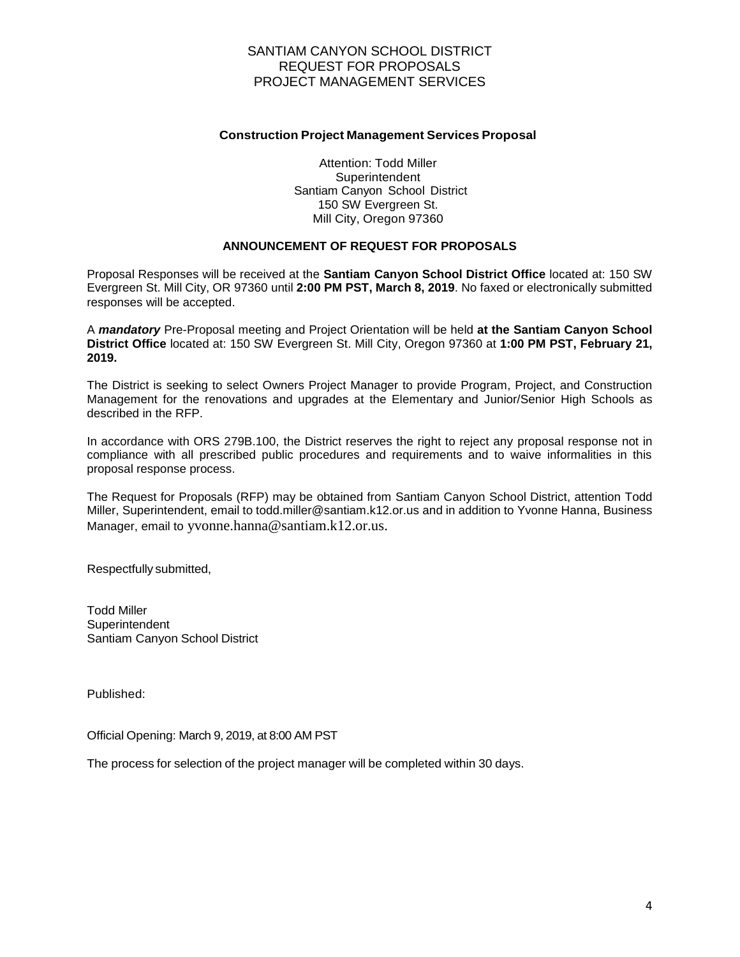#### **Construction Project Management Services Proposal**

Attention: Todd Miller **Superintendent** Santiam Canyon School District 150 SW Evergreen St. Mill City, Oregon 97360

## **ANNOUNCEMENT OF REQUEST FOR PROPOSALS**

Proposal Responses will be received at the **Santiam Canyon School District Office** located at: 150 SW Evergreen St. Mill City, OR 97360 until **2:00 PM PST, March 8, 2019**. No faxed or electronically submitted responses will be accepted.

A *mandatory* Pre-Proposal meeting and Project Orientation will be held **at the Santiam Canyon School District Office** located at: 150 SW Evergreen St. Mill City, Oregon 97360 at **1:00 PM PST, February 21, 2019.**

The District is seeking to select Owners Project Manager to provide Program, Project, and Construction Management for the renovations and upgrades at the Elementary and Junior/Senior High Schools as described in the RFP.

In accordance with ORS 279B.100, the District reserves the right to reject any proposal response not in compliance with all prescribed public procedures and requirements and to waive informalities in this proposal response process.

The Request for Proposals (RFP) may be obtained from Santiam Canyon School District, attention Todd Miller, Superintendent, email to todd.miller@santiam.k12.or.us and in addition to Yvonne Hanna, Business Manager, email to yvonne.hanna@santiam.k12.or.us.

Respectfully submitted,

Todd Miller **Superintendent** Santiam Canyon School District

Published:

Official Opening: March 9, 2019, at 8:00 AM PST

The process for selection of the project manager will be completed within 30 days.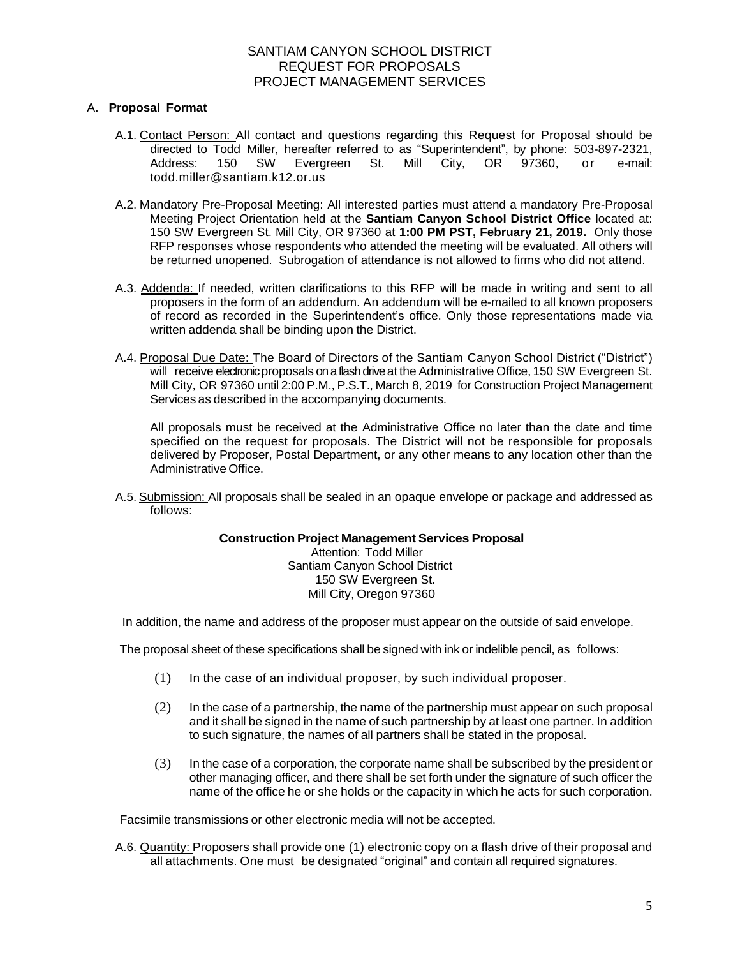#### A. **Proposal Format**

- A.1. Contact Person: All contact and questions regarding this Request for Proposal should be directed to Todd Miller, hereafter referred to as "Superintendent", by phone: 503-897-2321, Address: 150 SW Evergreen St. Mill City, OR 97360, or e-mail: todd.miller@santiam.k12.or.us
- A.2. Mandatory Pre-Proposal Meeting: All interested parties must attend a mandatory Pre-Proposal Meeting Project Orientation held at the **Santiam Canyon School District Office** located at: 150 SW Evergreen St. Mill City, OR 97360 at **1:00 PM PST, February 21, 2019.** Only those RFP responses whose respondents who attended the meeting will be evaluated. All others will be returned unopened. Subrogation of attendance is not allowed to firms who did not attend.
- A.3. Addenda: If needed, written clarifications to this RFP will be made in writing and sent to all proposers in the form of an addendum. An addendum will be e-mailed to all known proposers of record as recorded in the Superintendent's office. Only those representations made via written addenda shall be binding upon the District.
- A.4. Proposal Due Date: The Board of Directors of the Santiam Canyon School District ("District") will receive electronic proposals on a flash drive at the Administrative Office, 150 SW Evergreen St. Mill City, OR 97360 until 2:00 P.M., P.S.T., March 8, 2019 for Construction Project Management Services as described in the accompanying documents.

All proposals must be received at the Administrative Office no later than the date and time specified on the request for proposals. The District will not be responsible for proposals delivered by Proposer, Postal Department, or any other means to any location other than the Administrative Office.

A.5. Submission: All proposals shall be sealed in an opaque envelope or package and addressed as follows:

#### **Construction Project Management Services Proposal**

Attention: Todd Miller Santiam Canyon School District 150 SW Evergreen St. Mill City, Oregon 97360

In addition, the name and address of the proposer must appear on the outside of said envelope.

The proposal sheet of these specifications shall be signed with ink or indelible pencil, as follows:

- (1) In the case of an individual proposer, by such individual proposer.
- (2) In the case of a partnership, the name of the partnership must appear on such proposal and it shall be signed in the name of such partnership by at least one partner. In addition to such signature, the names of all partners shall be stated in the proposal.
- (3) In the case of a corporation, the corporate name shall be subscribed by the president or other managing officer, and there shall be set forth under the signature of such officer the name of the office he or she holds or the capacity in which he acts for such corporation.

Facsimile transmissions or other electronic media will not be accepted.

A.6. Quantity: Proposers shall provide one (1) electronic copy on a flash drive of their proposal and all attachments. One must be designated "original" and contain all required signatures.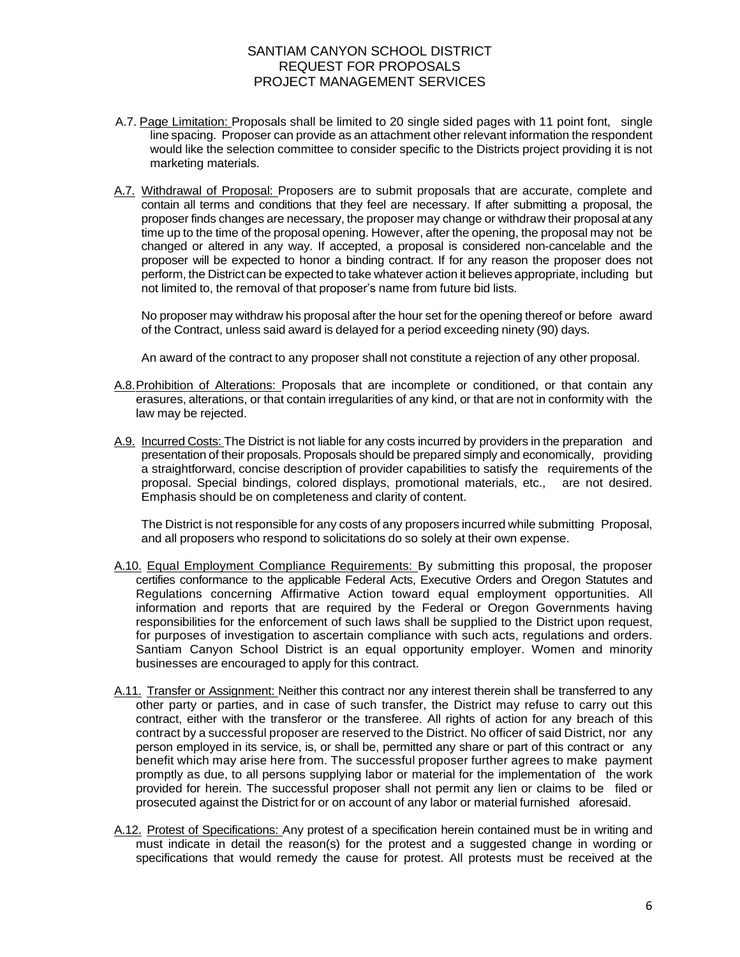- A.7. Page Limitation: Proposals shall be limited to 20 single sided pages with 11 point font, single line spacing. Proposer can provide as an attachment other relevant information the respondent would like the selection committee to consider specific to the Districts project providing it is not marketing materials.
- A.7. Withdrawal of Proposal: Proposers are to submit proposals that are accurate, complete and contain all terms and conditions that they feel are necessary. If after submitting a proposal, the proposer finds changes are necessary, the proposer may change or withdraw their proposal at any time up to the time of the proposal opening. However, after the opening, the proposal may not be changed or altered in any way. If accepted, a proposal is considered non-cancelable and the proposer will be expected to honor a binding contract. If for any reason the proposer does not perform, the District can be expected to take whatever action it believes appropriate, including but not limited to, the removal of that proposer's name from future bid lists.

No proposer may withdraw his proposal after the hour set for the opening thereof or before award of the Contract, unless said award is delayed for a period exceeding ninety (90) days.

An award of the contract to any proposer shall not constitute a rejection of any other proposal.

- A.8.Prohibition of Alterations: Proposals that are incomplete or conditioned, or that contain any erasures, alterations, or that contain irregularities of any kind, or that are not in conformity with the law may be rejected.
- A.9. Incurred Costs: The District is not liable for any costs incurred by providers in the preparation and presentation of their proposals. Proposals should be prepared simply and economically, providing a straightforward, concise description of provider capabilities to satisfy the requirements of the proposal. Special bindings, colored displays, promotional materials, etc., are not desired. Emphasis should be on completeness and clarity of content.

The District is not responsible for any costs of any proposers incurred while submitting Proposal, and all proposers who respond to solicitations do so solely at their own expense.

- A.10. Equal Employment Compliance Requirements: By submitting this proposal, the proposer certifies conformance to the applicable Federal Acts, Executive Orders and Oregon Statutes and Regulations concerning Affirmative Action toward equal employment opportunities. All information and reports that are required by the Federal or Oregon Governments having responsibilities for the enforcement of such laws shall be supplied to the District upon request, for purposes of investigation to ascertain compliance with such acts, regulations and orders. Santiam Canyon School District is an equal opportunity employer. Women and minority businesses are encouraged to apply for this contract.
- A.11. Transfer or Assignment: Neither this contract nor any interest therein shall be transferred to any other party or parties, and in case of such transfer, the District may refuse to carry out this contract, either with the transferor or the transferee. All rights of action for any breach of this contract by a successful proposer are reserved to the District. No officer of said District, nor any person employed in its service, is, or shall be, permitted any share or part of this contract or any benefit which may arise here from. The successful proposer further agrees to make payment promptly as due, to all persons supplying labor or material for the implementation of the work provided for herein. The successful proposer shall not permit any lien or claims to be filed or prosecuted against the District for or on account of any labor or material furnished aforesaid.
- A.12. Protest of Specifications: Any protest of a specification herein contained must be in writing and must indicate in detail the reason(s) for the protest and a suggested change in wording or specifications that would remedy the cause for protest. All protests must be received at the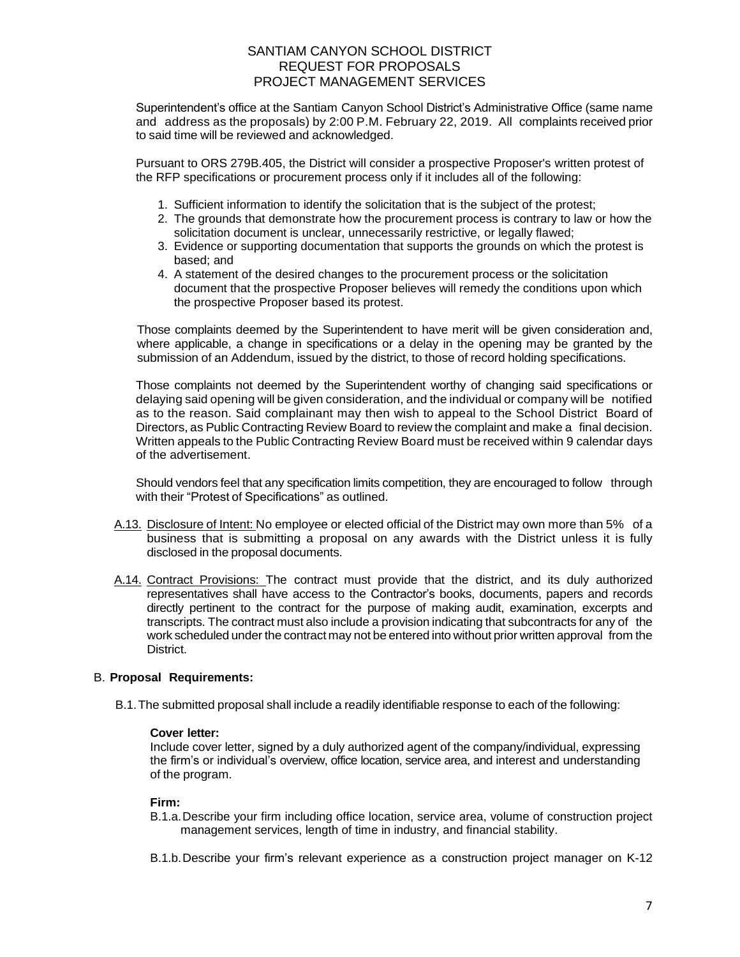Superintendent's office at the Santiam Canyon School District's Administrative Office (same name and address as the proposals) by 2:00 P.M. February 22, 2019. All complaints received prior to said time will be reviewed and acknowledged.

Pursuant to ORS 279B.405, the District will consider a prospective Proposer's written protest of the RFP specifications or procurement process only if it includes all of the following:

- 1. Sufficient information to identify the solicitation that is the subject of the protest;
- 2. The grounds that demonstrate how the procurement process is contrary to law or how the solicitation document is unclear, unnecessarily restrictive, or legally flawed;
- 3. Evidence or supporting documentation that supports the grounds on which the protest is based; and
- 4. A statement of the desired changes to the procurement process or the solicitation document that the prospective Proposer believes will remedy the conditions upon which the prospective Proposer based its protest.

Those complaints deemed by the Superintendent to have merit will be given consideration and, where applicable, a change in specifications or a delay in the opening may be granted by the submission of an Addendum, issued by the district, to those of record holding specifications.

Those complaints not deemed by the Superintendent worthy of changing said specifications or delaying said opening will be given consideration, and the individual or company will be notified as to the reason. Said complainant may then wish to appeal to the School District Board of Directors, as Public Contracting Review Board to review the complaint and make a final decision. Written appeals to the Public Contracting Review Board must be received within 9 calendar days of the advertisement.

Should vendors feel that any specification limits competition, they are encouraged to follow through with their "Protest of Specifications" as outlined.

- A.13. Disclosure of Intent: No employee or elected official of the District may own more than 5% of a business that is submitting a proposal on any awards with the District unless it is fully disclosed in the proposal documents.
- A.14. Contract Provisions: The contract must provide that the district, and its duly authorized representatives shall have access to the Contractor's books, documents, papers and records directly pertinent to the contract for the purpose of making audit, examination, excerpts and transcripts. The contract must also include a provision indicating that subcontracts for any of the work scheduled under the contract may not be entered into without prior written approval from the District.

## B. **Proposal Requirements:**

B.1.The submitted proposal shall include a readily identifiable response to each of the following:

#### **Cover letter:**

Include cover letter, signed by a duly authorized agent of the company/individual, expressing the firm's or individual's overview, office location, service area, and interest and understanding of the program.

#### **Firm:**

- B.1.a.Describe your firm including office location, service area, volume of construction project management services, length of time in industry, and financial stability.
- B.1.b.Describe your firm's relevant experience as a construction project manager on K-12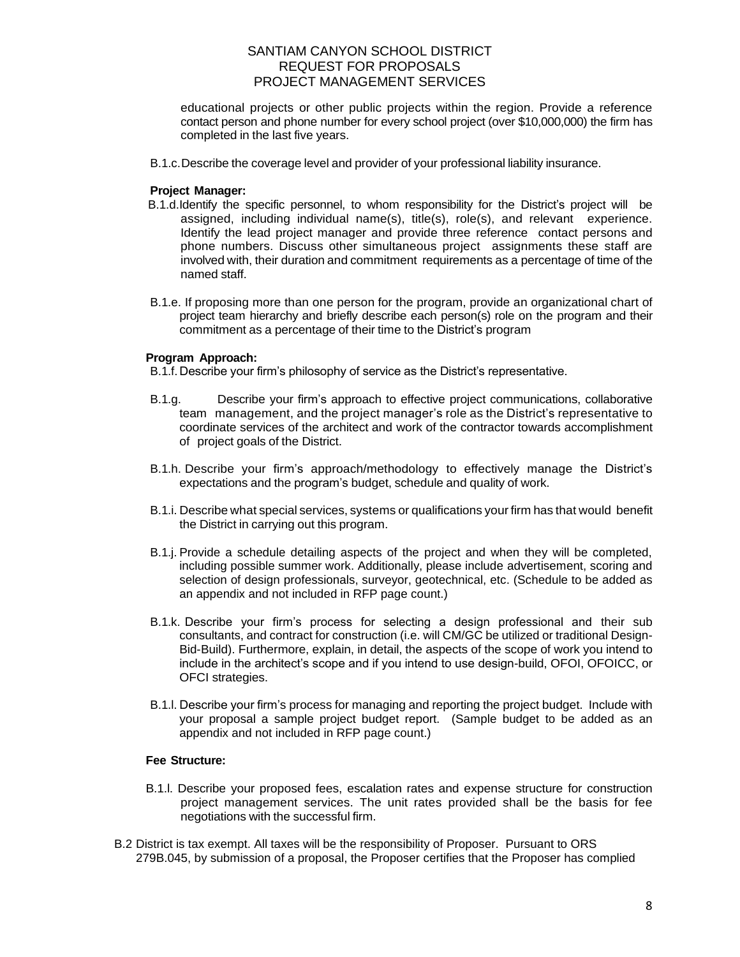educational projects or other public projects within the region. Provide a reference contact person and phone number for every school project (over \$10,000,000) the firm has completed in the last five years.

B.1.c.Describe the coverage level and provider of your professional liability insurance.

#### **Project Manager:**

- B.1.d.Identify the specific personnel, to whom responsibility for the District's project will be assigned, including individual name(s), title(s), role(s), and relevant experience. Identify the lead project manager and provide three reference contact persons and phone numbers. Discuss other simultaneous project assignments these staff are involved with, their duration and commitment requirements as a percentage of time of the named staff.
- B.1.e. If proposing more than one person for the program, provide an organizational chart of project team hierarchy and briefly describe each person(s) role on the program and their commitment as a percentage of their time to the District's program

#### **Program Approach:**

- B.1.f.Describe your firm's philosophy of service as the District's representative.
- B.1.g. Describe your firm's approach to effective project communications, collaborative team management, and the project manager's role as the District's representative to coordinate services of the architect and work of the contractor towards accomplishment of project goals of the District.
- B.1.h. Describe your firm's approach/methodology to effectively manage the District's expectations and the program's budget, schedule and quality of work.
- B.1.i. Describe what special services, systems or qualifications your firm has that would benefit the District in carrying out this program.
- B.1.j. Provide a schedule detailing aspects of the project and when they will be completed, including possible summer work. Additionally, please include advertisement, scoring and selection of design professionals, surveyor, geotechnical, etc. (Schedule to be added as an appendix and not included in RFP page count.)
- B.1.k. Describe your firm's process for selecting a design professional and their sub consultants, and contract for construction (i.e. will CM/GC be utilized or traditional Design-Bid-Build). Furthermore, explain, in detail, the aspects of the scope of work you intend to include in the architect's scope and if you intend to use design-build, OFOI, OFOICC, or OFCI strategies.
- B.1.l. Describe your firm's process for managing and reporting the project budget. Include with your proposal a sample project budget report. (Sample budget to be added as an appendix and not included in RFP page count.)

#### **Fee Structure:**

- B.1.l. Describe your proposed fees, escalation rates and expense structure for construction project management services. The unit rates provided shall be the basis for fee negotiations with the successful firm.
- B.2 District is tax exempt. All taxes will be the responsibility of Proposer. Pursuant to ORS 279B.045, by submission of a proposal, the Proposer certifies that the Proposer has complied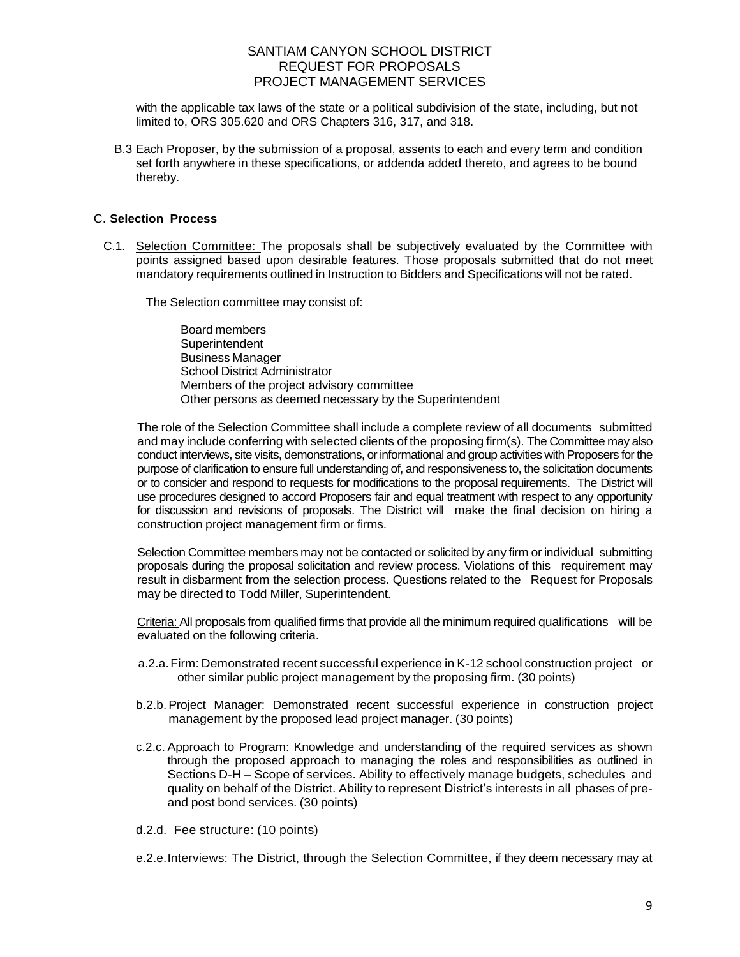with the applicable tax laws of the state or a political subdivision of the state, including, but not limited to, ORS 305.620 and ORS Chapters 316, 317, and 318.

B.3 Each Proposer, by the submission of a proposal, assents to each and every term and condition set forth anywhere in these specifications, or addenda added thereto, and agrees to be bound thereby.

## C. **Selection Process**

C.1. Selection Committee: The proposals shall be subjectively evaluated by the Committee with points assigned based upon desirable features. Those proposals submitted that do not meet mandatory requirements outlined in Instruction to Bidders and Specifications will not be rated.

The Selection committee may consist of:

Board members **Superintendent** Business Manager School District Administrator Members of the project advisory committee Other persons as deemed necessary by the Superintendent

The role of the Selection Committee shall include a complete review of all documents submitted and may include conferring with selected clients of the proposing firm(s). The Committee may also conduct interviews, site visits, demonstrations, or informational and group activities with Proposers for the purpose of clarification to ensure full understanding of, and responsiveness to, the solicitation documents or to consider and respond to requests for modifications to the proposal requirements. The District will use procedures designed to accord Proposers fair and equal treatment with respect to any opportunity for discussion and revisions of proposals. The District will make the final decision on hiring a construction project management firm or firms.

Selection Committee members may not be contacted or solicited by any firm or individual submitting proposals during the proposal solicitation and review process. Violations of this requirement may result in disbarment from the selection process. Questions related to the Request for Proposals may be directed to Todd Miller, Superintendent.

Criteria: All proposals from qualified firms that provide all the minimum required qualifications will be evaluated on the following criteria.

- a.2.a.Firm: Demonstrated recent successful experience in K-12 school construction project or other similar public project management by the proposing firm. (30 points)
- b.2.b.Project Manager: Demonstrated recent successful experience in construction project management by the proposed lead project manager. (30 points)
- c.2.c. Approach to Program: Knowledge and understanding of the required services as shown through the proposed approach to managing the roles and responsibilities as outlined in Sections D-H – Scope of services. Ability to effectively manage budgets, schedules and quality on behalf of the District. Ability to represent District's interests in all phases of preand post bond services. (30 points)
- d.2.d. Fee structure: (10 points)

e.2.e.Interviews: The District, through the Selection Committee, if they deem necessary may at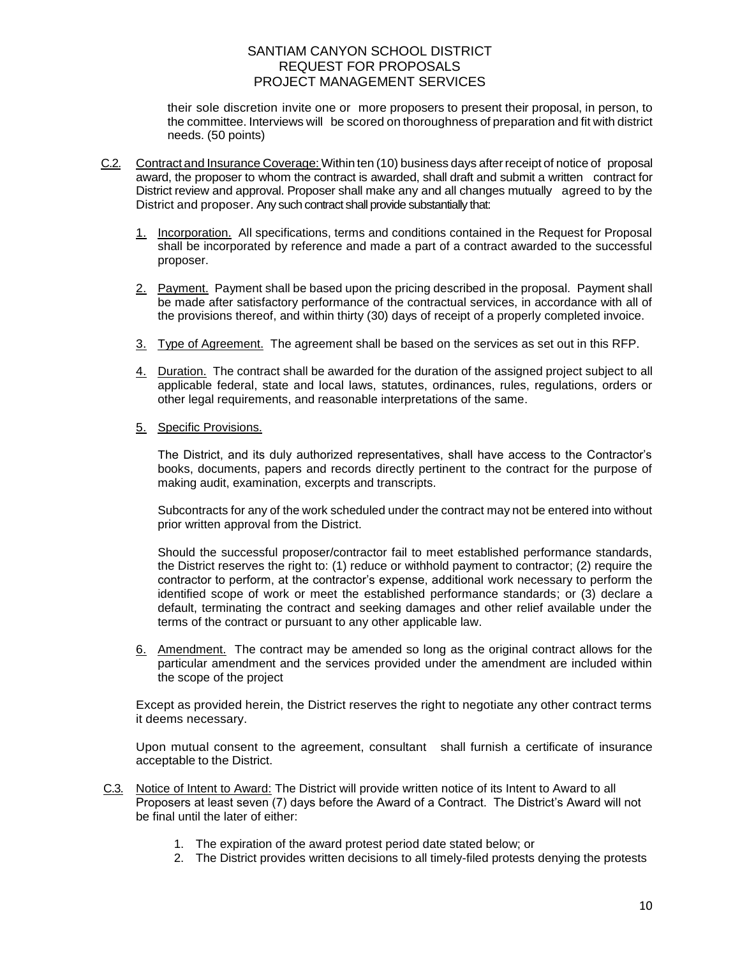their sole discretion invite one or more proposers to present their proposal, in person, to the committee. Interviews will be scored on thoroughness of preparation and fit with district needs. (50 points)

- C.2. Contract and Insurance Coverage: Within ten (10) business days afterreceipt of notice of proposal award, the proposer to whom the contract is awarded, shall draft and submit a written contract for District review and approval. Proposer shall make any and all changes mutually agreed to by the District and proposer. Any such contract shall provide substantially that:
	- 1. Incorporation. All specifications, terms and conditions contained in the Request for Proposal shall be incorporated by reference and made a part of a contract awarded to the successful proposer.
	- 2. Payment. Payment shall be based upon the pricing described in the proposal. Payment shall be made after satisfactory performance of the contractual services, in accordance with all of the provisions thereof, and within thirty (30) days of receipt of a properly completed invoice.
	- 3. Type of Agreement. The agreement shall be based on the services as set out in this RFP.
	- 4. Duration. The contract shall be awarded for the duration of the assigned project subject to all applicable federal, state and local laws, statutes, ordinances, rules, regulations, orders or other legal requirements, and reasonable interpretations of the same.
	- 5. Specific Provisions.

The District, and its duly authorized representatives, shall have access to the Contractor's books, documents, papers and records directly pertinent to the contract for the purpose of making audit, examination, excerpts and transcripts.

Subcontracts for any of the work scheduled under the contract may not be entered into without prior written approval from the District.

Should the successful proposer/contractor fail to meet established performance standards, the District reserves the right to: (1) reduce or withhold payment to contractor; (2) require the contractor to perform, at the contractor's expense, additional work necessary to perform the identified scope of work or meet the established performance standards; or (3) declare a default, terminating the contract and seeking damages and other relief available under the terms of the contract or pursuant to any other applicable law.

6. Amendment. The contract may be amended so long as the original contract allows for the particular amendment and the services provided under the amendment are included within the scope of the project

Except as provided herein, the District reserves the right to negotiate any other contract terms it deems necessary.

Upon mutual consent to the agreement, consultant shall furnish a certificate of insurance acceptable to the District.

- C.3. Notice of Intent to Award: The District will provide written notice of its Intent to Award to all Proposers at least seven (7) days before the Award of a Contract. The District's Award will not be final until the later of either:
	- 1. The expiration of the award protest period date stated below; or
	- 2. The District provides written decisions to all timely-filed protests denying the protests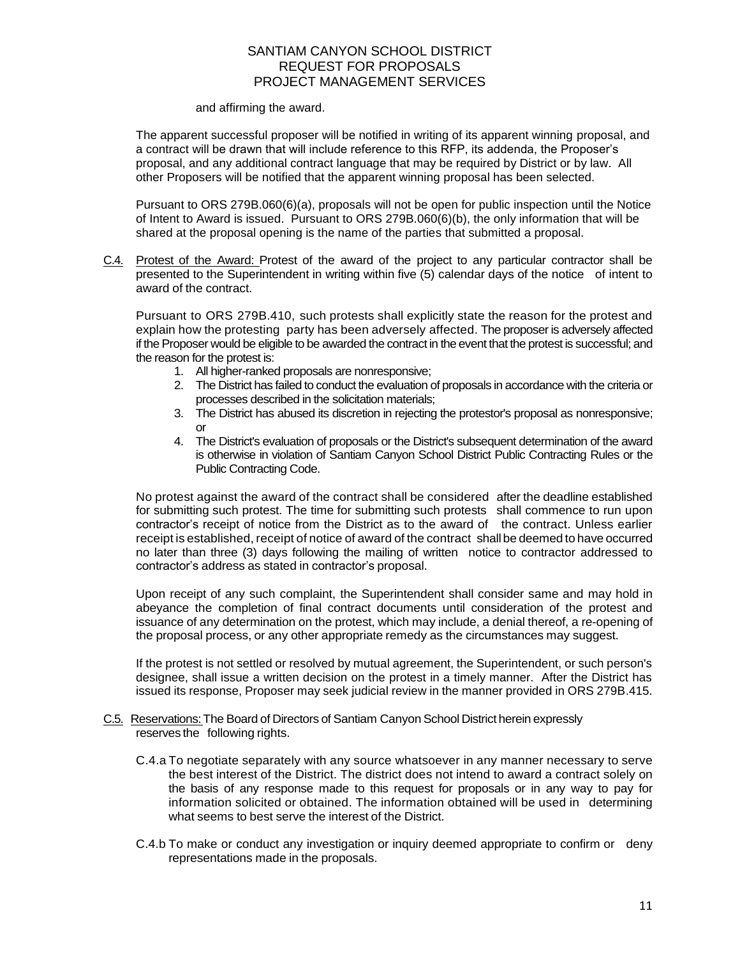and affirming the award.

The apparent successful proposer will be notified in writing of its apparent winning proposal, and a contract will be drawn that will include reference to this RFP, its addenda, the Proposer's proposal, and any additional contract language that may be required by District or by law. All other Proposers will be notified that the apparent winning proposal has been selected.

Pursuant to ORS 279B.060(6)(a), proposals will not be open for public inspection until the Notice of Intent to Award is issued. Pursuant to ORS 279B.060(6)(b), the only information that will be shared at the proposal opening is the name of the parties that submitted a proposal.

C.4. Protest of the Award: Protest of the award of the project to any particular contractor shall be presented to the Superintendent in writing within five (5) calendar days of the notice of intent to award of the contract.

Pursuant to ORS 279B.410, such protests shall explicitly state the reason for the protest and explain how the protesting party has been adversely affected. The proposer is adversely affected if the Proposer would be eligible to be awarded the contract in the event that the protest is successful; and the reason for the protest is:

- 1. All higher-ranked proposals are nonresponsive;
- 2. The District has failed to conduct the evaluation of proposals in accordance with the criteria or processes described in the solicitation materials;
- 3. The District has abused its discretion in rejecting the protestor's proposal as nonresponsive; or
- 4. The District's evaluation of proposals or the District's subsequent determination of the award is otherwise in violation of Santiam Canyon School District Public Contracting Rules or the Public Contracting Code.

No protest against the award of the contract shall be considered after the deadline established for submitting such protest. The time for submitting such protests shall commence to run upon contractor's receipt of notice from the District as to the award of the contract. Unless earlier receipt is established, receipt of notice of award of the contract shall be deemed to have occurred no later than three (3) days following the mailing of written notice to contractor addressed to contractor's address as stated in contractor's proposal.

Upon receipt of any such complaint, the Superintendent shall consider same and may hold in abeyance the completion of final contract documents until consideration of the protest and issuance of any determination on the protest, which may include, a denial thereof, a re-opening of the proposal process, or any other appropriate remedy as the circumstances may suggest.

If the protest is not settled or resolved by mutual agreement, the Superintendent, or such person's designee, shall issue a written decision on the protest in a timely manner. After the District has issued its response, Proposer may seek judicial review in the manner provided in ORS 279B.415.

- C.5. Reservations: The Board of Directors of Santiam Canyon School District herein expressly reserves the following rights.
	- C.4.a To negotiate separately with any source whatsoever in any manner necessary to serve the best interest of the District. The district does not intend to award a contract solely on the basis of any response made to this request for proposals or in any way to pay for information solicited or obtained. The information obtained will be used in determining what seems to best serve the interest of the District.
	- C.4.b To make or conduct any investigation or inquiry deemed appropriate to confirm or deny representations made in the proposals.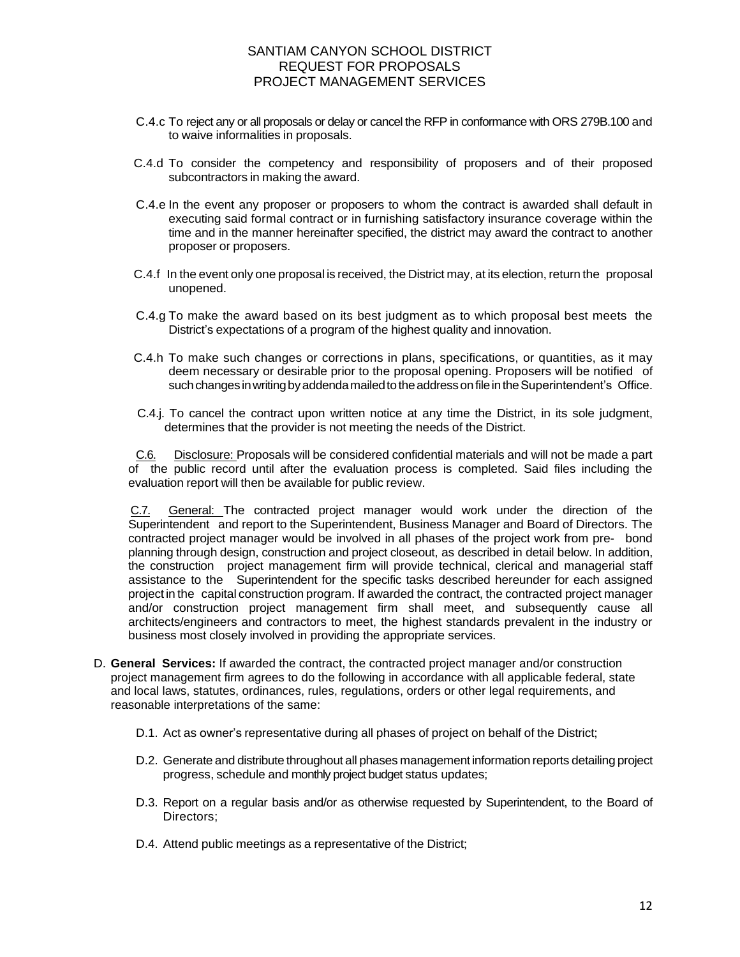- C.4.c To reject any or all proposals or delay or cancel the RFP in conformance with ORS 279B.100 and to waive informalities in proposals.
- C.4.d To consider the competency and responsibility of proposers and of their proposed subcontractors in making the award.
- C.4.e In the event any proposer or proposers to whom the contract is awarded shall default in executing said formal contract or in furnishing satisfactory insurance coverage within the time and in the manner hereinafter specified, the district may award the contract to another proposer or proposers.
- C.4.f In the event only one proposal is received, the District may, at its election, return the proposal unopened.
- C.4.g To make the award based on its best judgment as to which proposal best meets the District's expectations of a program of the highest quality and innovation.
- C.4.h To make such changes or corrections in plans, specifications, or quantities, as it may deem necessary or desirable prior to the proposal opening. Proposers will be notified of such changes in writing by addenda mailed to the address on file in the Superintendent's Office.
- C.4.j. To cancel the contract upon written notice at any time the District, in its sole judgment, determines that the provider is not meeting the needs of the District.

C.6. Disclosure: Proposals will be considered confidential materials and will not be made a part of the public record until after the evaluation process is completed. Said files including the evaluation report will then be available for public review.

C.7. General: The contracted project manager would work under the direction of the Superintendent and report to the Superintendent, Business Manager and Board of Directors. The contracted project manager would be involved in all phases of the project work from pre- bond planning through design, construction and project closeout, as described in detail below. In addition, the construction project management firm will provide technical, clerical and managerial staff assistance to the Superintendent for the specific tasks described hereunder for each assigned project in the capital construction program. If awarded the contract, the contracted project manager and/or construction project management firm shall meet, and subsequently cause all architects/engineers and contractors to meet, the highest standards prevalent in the industry or business most closely involved in providing the appropriate services.

- D. **General Services:** If awarded the contract, the contracted project manager and/or construction project management firm agrees to do the following in accordance with all applicable federal, state and local laws, statutes, ordinances, rules, regulations, orders or other legal requirements, and reasonable interpretations of the same:
	- D.1. Act as owner's representative during all phases of project on behalf of the District;
	- D.2. Generate and distribute throughout all phases management information reports detailing project progress, schedule and monthly project budget status updates;
	- D.3. Report on a regular basis and/or as otherwise requested by Superintendent, to the Board of Directors;
	- D.4. Attend public meetings as a representative of the District;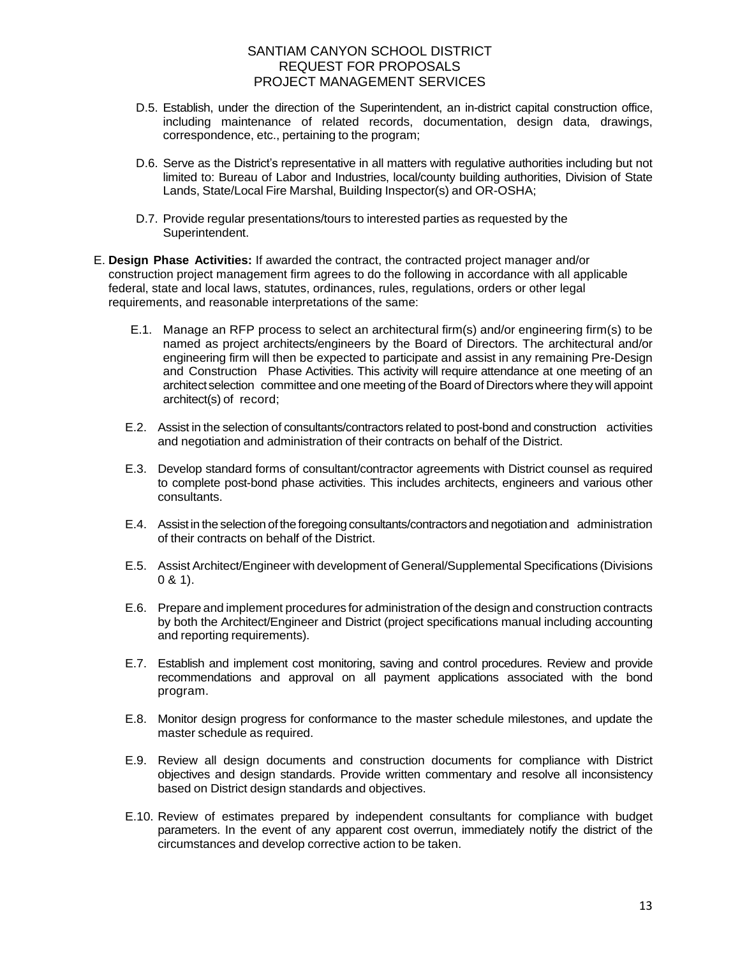- D.5. Establish, under the direction of the Superintendent, an in-district capital construction office, including maintenance of related records, documentation, design data, drawings, correspondence, etc., pertaining to the program;
- D.6. Serve as the District's representative in all matters with regulative authorities including but not limited to: Bureau of Labor and Industries, local/county building authorities, Division of State Lands, State/Local Fire Marshal, Building Inspector(s) and OR-OSHA;
- D.7. Provide regular presentations/tours to interested parties as requested by the Superintendent.
- E. **Design Phase Activities:** If awarded the contract, the contracted project manager and/or construction project management firm agrees to do the following in accordance with all applicable federal, state and local laws, statutes, ordinances, rules, regulations, orders or other legal requirements, and reasonable interpretations of the same:
	- E.1. Manage an RFP process to select an architectural firm(s) and/or engineering firm(s) to be named as project architects/engineers by the Board of Directors. The architectural and/or engineering firm will then be expected to participate and assist in any remaining Pre-Design and Construction Phase Activities. This activity will require attendance at one meeting of an architectselection committee and one meeting of the Board of Directors where they will appoint architect(s) of record;
	- E.2. Assist in the selection of consultants/contractors related to post-bond and construction activities and negotiation and administration of their contracts on behalf of the District.
	- E.3. Develop standard forms of consultant/contractor agreements with District counsel as required to complete post-bond phase activities. This includes architects, engineers and various other consultants.
	- E.4. Assist in the selection of the foregoing consultants/contractors and negotiation and administration of their contracts on behalf of the District.
	- E.5. Assist Architect/Engineer with development of General/Supplemental Specifications (Divisions  $0 & 31$ .
	- E.6. Prepare and implement procedures for administration of the design and construction contracts by both the Architect/Engineer and District (project specifications manual including accounting and reporting requirements).
	- E.7. Establish and implement cost monitoring, saving and control procedures. Review and provide recommendations and approval on all payment applications associated with the bond program.
	- E.8. Monitor design progress for conformance to the master schedule milestones, and update the master schedule as required.
	- E.9. Review all design documents and construction documents for compliance with District objectives and design standards. Provide written commentary and resolve all inconsistency based on District design standards and objectives.
	- E.10. Review of estimates prepared by independent consultants for compliance with budget parameters. In the event of any apparent cost overrun, immediately notify the district of the circumstances and develop corrective action to be taken.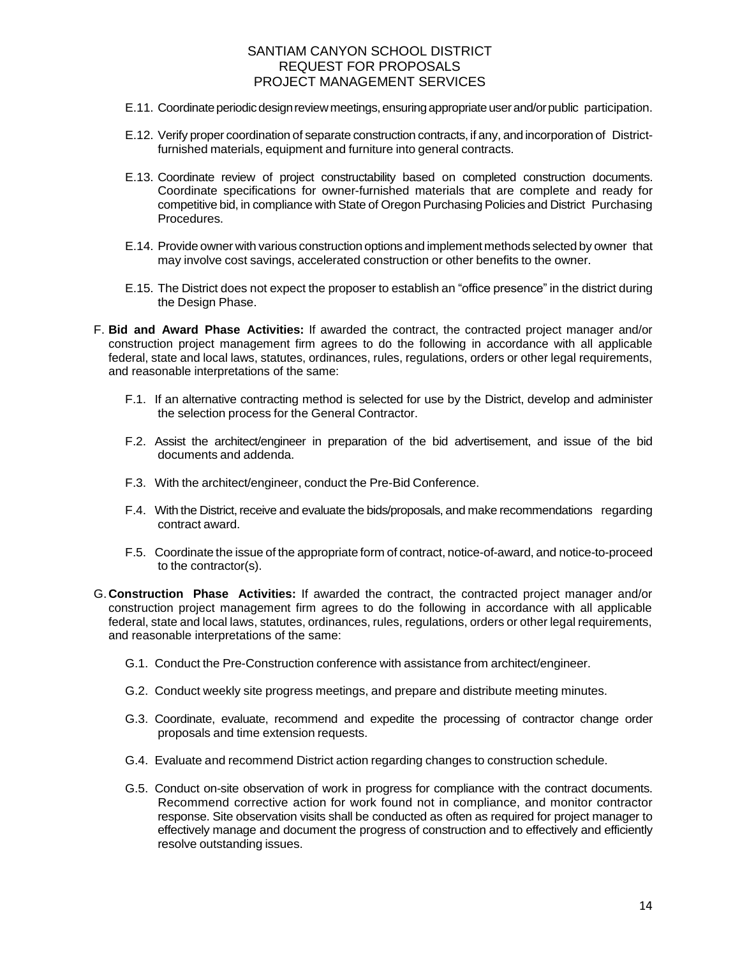- E.11. Coordinate periodic design review meetings, ensuring appropriate user and/or public participation.
- E.12. Verify proper coordination of separate construction contracts, if any, and incorporation of Districtfurnished materials, equipment and furniture into general contracts.
- E.13. Coordinate review of project constructability based on completed construction documents. Coordinate specifications for owner-furnished materials that are complete and ready for competitive bid, in compliance with State of Oregon Purchasing Policies and District Purchasing Procedures.
- E.14. Provide owner with various construction options and implement methods selected by owner that may involve cost savings, accelerated construction or other benefits to the owner.
- E.15. The District does not expect the proposer to establish an "office presence" in the district during the Design Phase.
- F. **Bid and Award Phase Activities:** If awarded the contract, the contracted project manager and/or construction project management firm agrees to do the following in accordance with all applicable federal, state and local laws, statutes, ordinances, rules, regulations, orders or other legal requirements, and reasonable interpretations of the same:
	- F.1. If an alternative contracting method is selected for use by the District, develop and administer the selection process for the General Contractor.
	- F.2. Assist the architect/engineer in preparation of the bid advertisement, and issue of the bid documents and addenda.
	- F.3. With the architect/engineer, conduct the Pre-Bid Conference.
	- F.4. With the District, receive and evaluate the bids/proposals, and make recommendations regarding contract award.
	- F.5. Coordinate the issue of the appropriate form of contract, notice-of-award, and notice-to-proceed to the contractor(s).
- G.**Construction Phase Activities:** If awarded the contract, the contracted project manager and/or construction project management firm agrees to do the following in accordance with all applicable federal, state and local laws, statutes, ordinances, rules, regulations, orders or other legal requirements, and reasonable interpretations of the same:
	- G.1. Conduct the Pre-Construction conference with assistance from architect/engineer.
	- G.2. Conduct weekly site progress meetings, and prepare and distribute meeting minutes.
	- G.3. Coordinate, evaluate, recommend and expedite the processing of contractor change order proposals and time extension requests.
	- G.4. Evaluate and recommend District action regarding changes to construction schedule.
	- G.5. Conduct on-site observation of work in progress for compliance with the contract documents. Recommend corrective action for work found not in compliance, and monitor contractor response. Site observation visits shall be conducted as often as required for project manager to effectively manage and document the progress of construction and to effectively and efficiently resolve outstanding issues.